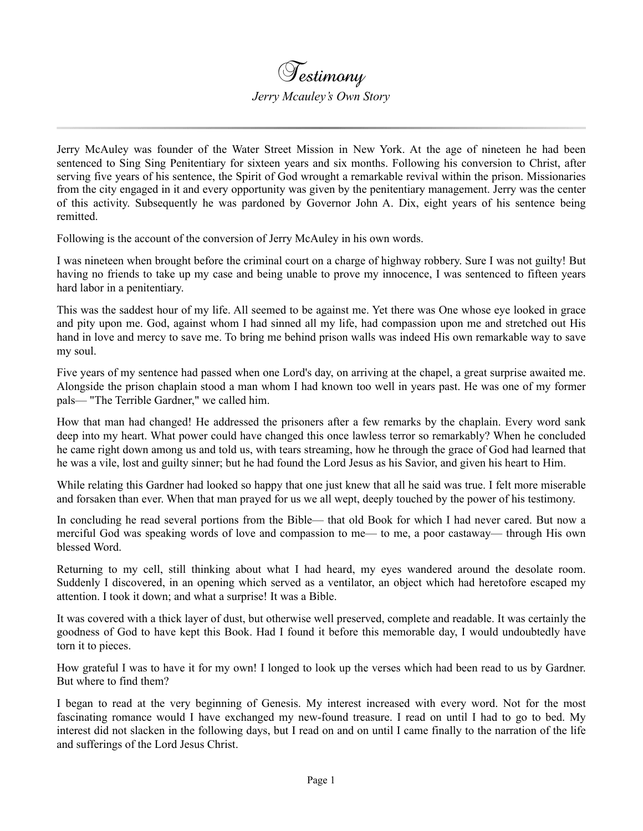Jerry McAuley was founder of the Water Street Mission in New York. At the age of nineteen he had been sentenced to Sing Sing Penitentiary for sixteen years and six months. Following his conversion to Christ, after serving five years of his sentence, the Spirit of God wrought a remarkable revival within the prison. Missionaries from the city engaged in it and every opportunity was given by the penitentiary management. Jerry was the center of this activity. Subsequently he was pardoned by Governor John A. Dix, eight years of his sentence being remitted.

Following is the account of the conversion of Jerry McAuley in his own words.

I was nineteen when brought before the criminal court on a charge of highway robbery. Sure I was not guilty! But having no friends to take up my case and being unable to prove my innocence, I was sentenced to fifteen years hard labor in a penitentiary.

This was the saddest hour of my life. All seemed to be against me. Yet there was One whose eye looked in grace and pity upon me. God, against whom I had sinned all my life, had compassion upon me and stretched out His hand in love and mercy to save me. To bring me behind prison walls was indeed His own remarkable way to save my soul.

Five years of my sentence had passed when one Lord's day, on arriving at the chapel, a great surprise awaited me. Alongside the prison chaplain stood a man whom I had known too well in years past. He was one of my former pals— "The Terrible Gardner," we called him.

How that man had changed! He addressed the prisoners after a few remarks by the chaplain. Every word sank deep into my heart. What power could have changed this once lawless terror so remarkably? When he concluded he came right down among us and told us, with tears streaming, how he through the grace of God had learned that he was a vile, lost and guilty sinner; but he had found the Lord Jesus as his Savior, and given his heart to Him.

While relating this Gardner had looked so happy that one just knew that all he said was true. I felt more miserable and forsaken than ever. When that man prayed for us we all wept, deeply touched by the power of his testimony.

In concluding he read several portions from the Bible— that old Book for which I had never cared. But now a merciful God was speaking words of love and compassion to me— to me, a poor castaway— through His own blessed Word.

Returning to my cell, still thinking about what I had heard, my eyes wandered around the desolate room. Suddenly I discovered, in an opening which served as a ventilator, an object which had heretofore escaped my attention. I took it down; and what a surprise! It was a Bible.

It was covered with a thick layer of dust, but otherwise well preserved, complete and readable. It was certainly the goodness of God to have kept this Book. Had I found it before this memorable day, I would undoubtedly have torn it to pieces.

How grateful I was to have it for my own! I longed to look up the verses which had been read to us by Gardner. But where to find them?

I began to read at the very beginning of Genesis. My interest increased with every word. Not for the most fascinating romance would I have exchanged my new-found treasure. I read on until I had to go to bed. My interest did not slacken in the following days, but I read on and on until I came finally to the narration of the life and sufferings of the Lord Jesus Christ.